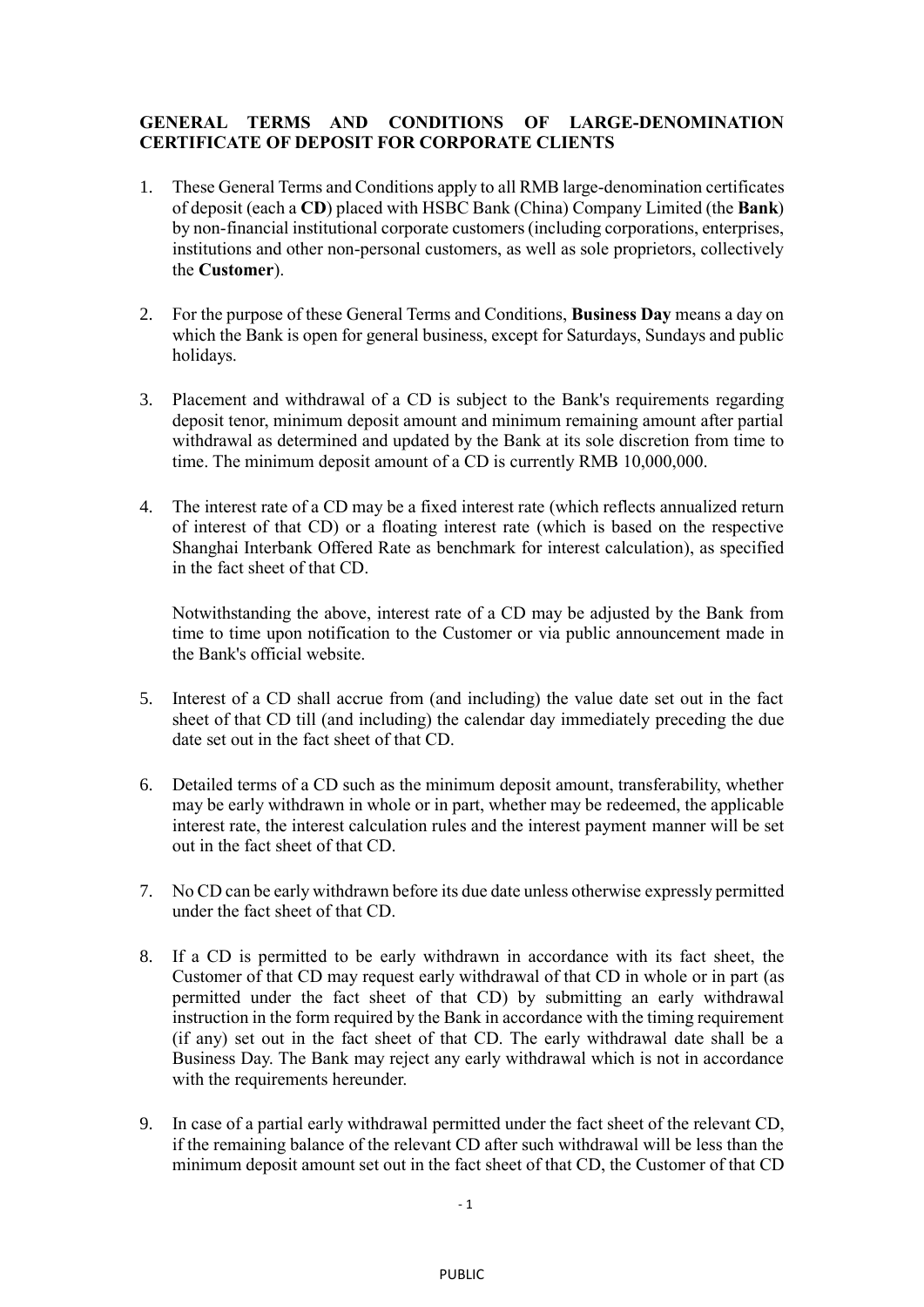## **GENERAL TERMS AND CONDITIONS OF LARGE-DENOMINATION CERTIFICATE OF DEPOSIT FOR CORPORATE CLIENTS**

- 1. These General Terms and Conditions apply to all RMB large-denomination certificates of deposit (each a **CD**) placed with HSBC Bank (China) Company Limited (the **Bank**) by non-financial institutional corporate customers (including corporations, enterprises, institutions and other non-personal customers, as well as sole proprietors, collectively the **Customer**).
- 2. For the purpose of these General Terms and Conditions, **Business Day** means a day on which the Bank is open for general business, except for Saturdays, Sundays and public holidays.
- 3. Placement and withdrawal of a CD is subject to the Bank's requirements regarding deposit tenor, minimum deposit amount and minimum remaining amount after partial withdrawal as determined and updated by the Bank at its sole discretion from time to time. The minimum deposit amount of a CD is currently RMB 10,000,000.
- 4. The interest rate of a CD may be a fixed interest rate (which reflects annualized return of interest of that CD) or a floating interest rate (which is based on the respective Shanghai Interbank Offered Rate as benchmark for interest calculation), as specified in the fact sheet of that CD.

Notwithstanding the above, interest rate of a CD may be adjusted by the Bank from time to time upon notification to the Customer or via public announcement made in the Bank's official website.

- 5. Interest of a CD shall accrue from (and including) the value date set out in the fact sheet of that CD till (and including) the calendar day immediately preceding the due date set out in the fact sheet of that CD.
- 6. Detailed terms of a CD such as the minimum deposit amount, transferability, whether may be early withdrawn in whole or in part, whether may be redeemed, the applicable interest rate, the interest calculation rules and the interest payment manner will be set out in the fact sheet of that CD.
- 7. No CD can be early withdrawn before its due date unless otherwise expressly permitted under the fact sheet of that CD.
- 8. If a CD is permitted to be early withdrawn in accordance with its fact sheet, the Customer of that CD may request early withdrawal of that CD in whole or in part (as permitted under the fact sheet of that CD) by submitting an early withdrawal instruction in the form required by the Bank in accordance with the timing requirement (if any) set out in the fact sheet of that CD. The early withdrawal date shall be a Business Day. The Bank may reject any early withdrawal which is not in accordance with the requirements hereunder.
- 9. In case of a partial early withdrawal permitted under the fact sheet of the relevant CD, if the remaining balance of the relevant CD after such withdrawal will be less than the minimum deposit amount set out in the fact sheet of that CD, the Customer of that CD